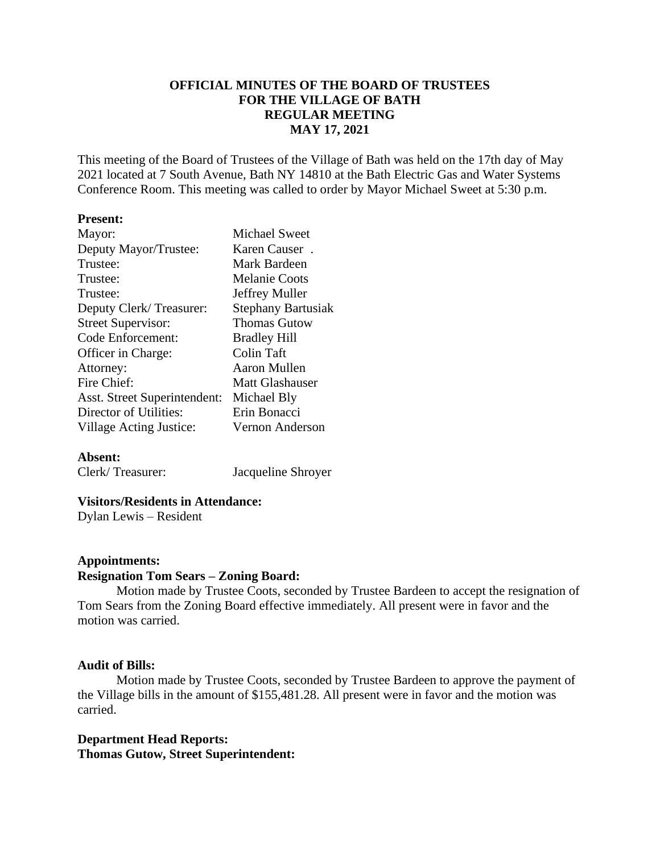# **OFFICIAL MINUTES OF THE BOARD OF TRUSTEES FOR THE VILLAGE OF BATH REGULAR MEETING MAY 17, 2021**

This meeting of the Board of Trustees of the Village of Bath was held on the 17th day of May 2021 located at 7 South Avenue, Bath NY 14810 at the Bath Electric Gas and Water Systems Conference Room. This meeting was called to order by Mayor Michael Sweet at 5:30 p.m.

### **Present:**

| Mayor:                       | <b>Michael Sweet</b>      |
|------------------------------|---------------------------|
| Deputy Mayor/Trustee:        | Karen Causer.             |
| Trustee:                     | Mark Bardeen              |
| Trustee:                     | <b>Melanie Coots</b>      |
| Trustee:                     | Jeffrey Muller            |
| Deputy Clerk/Treasurer:      | <b>Stephany Bartusiak</b> |
| <b>Street Supervisor:</b>    | <b>Thomas Gutow</b>       |
| Code Enforcement:            | <b>Bradley Hill</b>       |
| Officer in Charge:           | Colin Taft                |
| Attorney:                    | Aaron Mullen              |
| Fire Chief:                  | <b>Matt Glashauser</b>    |
| Asst. Street Superintendent: | Michael Bly               |
| Director of Utilities:       | Erin Bonacci              |
| Village Acting Justice:      | Vernon Anderson           |
|                              |                           |

# **Absent:**

Clerk/ Treasurer: Jacqueline Shroyer

# **Visitors/Residents in Attendance:**

Dylan Lewis – Resident

#### **Appointments:**

# **Resignation Tom Sears – Zoning Board:**

Motion made by Trustee Coots, seconded by Trustee Bardeen to accept the resignation of Tom Sears from the Zoning Board effective immediately. All present were in favor and the motion was carried.

# **Audit of Bills:**

Motion made by Trustee Coots, seconded by Trustee Bardeen to approve the payment of the Village bills in the amount of \$155,481.28. All present were in favor and the motion was carried.

# **Department Head Reports: Thomas Gutow, Street Superintendent:**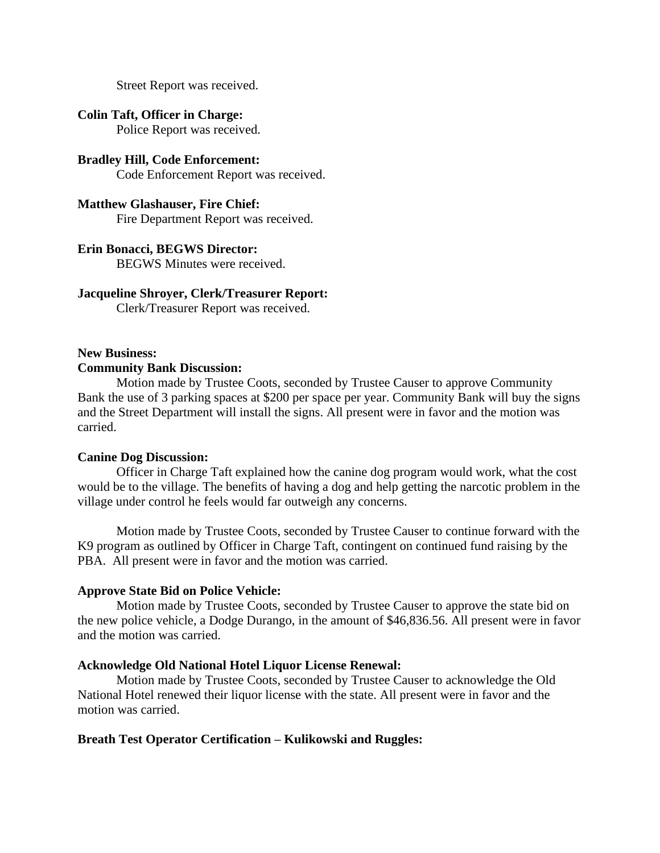Street Report was received.

# **Colin Taft, Officer in Charge:**

Police Report was received.

# **Bradley Hill, Code Enforcement:** Code Enforcement Report was received.

#### **Matthew Glashauser, Fire Chief:**

Fire Department Report was received.

### **Erin Bonacci, BEGWS Director:**

BEGWS Minutes were received.

#### **Jacqueline Shroyer, Clerk/Treasurer Report:**

Clerk/Treasurer Report was received.

#### **New Business:**

#### **Community Bank Discussion:**

Motion made by Trustee Coots, seconded by Trustee Causer to approve Community Bank the use of 3 parking spaces at \$200 per space per year. Community Bank will buy the signs and the Street Department will install the signs. All present were in favor and the motion was carried.

#### **Canine Dog Discussion:**

Officer in Charge Taft explained how the canine dog program would work, what the cost would be to the village. The benefits of having a dog and help getting the narcotic problem in the village under control he feels would far outweigh any concerns.

Motion made by Trustee Coots, seconded by Trustee Causer to continue forward with the K9 program as outlined by Officer in Charge Taft, contingent on continued fund raising by the PBA. All present were in favor and the motion was carried.

# **Approve State Bid on Police Vehicle:**

Motion made by Trustee Coots, seconded by Trustee Causer to approve the state bid on the new police vehicle, a Dodge Durango, in the amount of \$46,836.56. All present were in favor and the motion was carried.

### **Acknowledge Old National Hotel Liquor License Renewal:**

Motion made by Trustee Coots, seconded by Trustee Causer to acknowledge the Old National Hotel renewed their liquor license with the state. All present were in favor and the motion was carried.

# **Breath Test Operator Certification – Kulikowski and Ruggles:**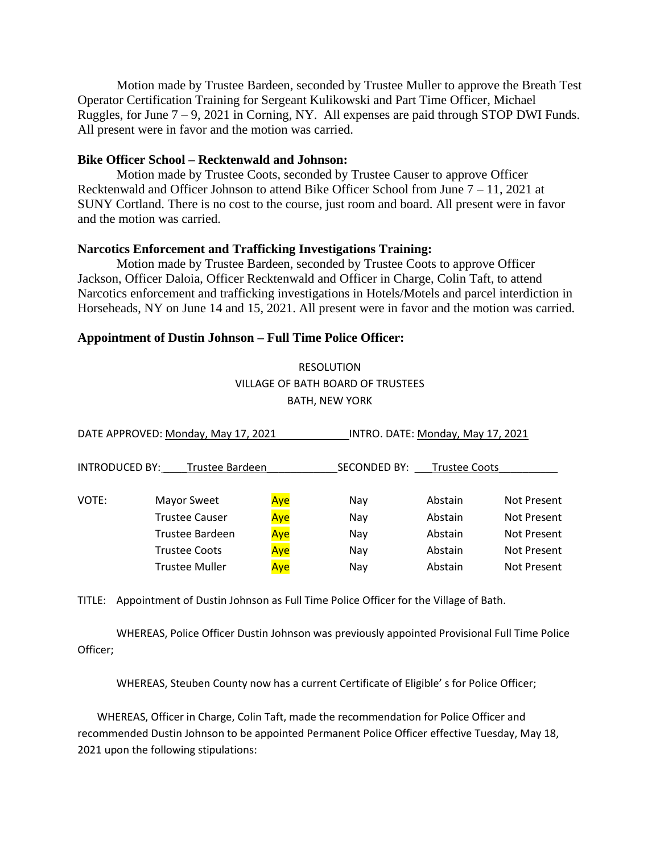Motion made by Trustee Bardeen, seconded by Trustee Muller to approve the Breath Test Operator Certification Training for Sergeant Kulikowski and Part Time Officer, Michael Ruggles, for June  $7 - 9$ , 2021 in Corning, NY. All expenses are paid through STOP DWI Funds. All present were in favor and the motion was carried.

# **Bike Officer School – Recktenwald and Johnson:**

Motion made by Trustee Coots, seconded by Trustee Causer to approve Officer Recktenwald and Officer Johnson to attend Bike Officer School from June 7 – 11, 2021 at SUNY Cortland. There is no cost to the course, just room and board. All present were in favor and the motion was carried.

# **Narcotics Enforcement and Trafficking Investigations Training:**

Motion made by Trustee Bardeen, seconded by Trustee Coots to approve Officer Jackson, Officer Daloia, Officer Recktenwald and Officer in Charge, Colin Taft, to attend Narcotics enforcement and trafficking investigations in Hotels/Motels and parcel interdiction in Horseheads, NY on June 14 and 15, 2021. All present were in favor and the motion was carried.

# **Appointment of Dustin Johnson – Full Time Police Officer:**

RESOLUTION VILLAGE OF BATH BOARD OF TRUSTEES BATH, NEW YORK

| DATE APPROVED: Monday, May 17, 2021 |                       |     | INTRO. DATE: Monday, May 17, 2021 |                      |                    |
|-------------------------------------|-----------------------|-----|-----------------------------------|----------------------|--------------------|
| <b>INTRODUCED BY:</b>               | Trustee Bardeen       |     | <b>SECONDED BY:</b>               | <b>Trustee Coots</b> |                    |
| VOTE:                               | Mayor Sweet           | Aye | Nay                               | Abstain              | <b>Not Present</b> |
|                                     | <b>Trustee Causer</b> | Aye | Nay                               | Abstain              | <b>Not Present</b> |
|                                     | Trustee Bardeen       | Aye | Nay                               | Abstain              | <b>Not Present</b> |
|                                     | <b>Trustee Coots</b>  | Aye | Nay                               | Abstain              | <b>Not Present</b> |
|                                     | <b>Trustee Muller</b> | Aye | Nay                               | Abstain              | <b>Not Present</b> |
|                                     |                       |     |                                   |                      |                    |

TITLE: Appointment of Dustin Johnson as Full Time Police Officer for the Village of Bath.

WHEREAS, Police Officer Dustin Johnson was previously appointed Provisional Full Time Police Officer;

WHEREAS, Steuben County now has a current Certificate of Eligible' s for Police Officer;

WHEREAS, Officer in Charge, Colin Taft, made the recommendation for Police Officer and recommended Dustin Johnson to be appointed Permanent Police Officer effective Tuesday, May 18, 2021 upon the following stipulations: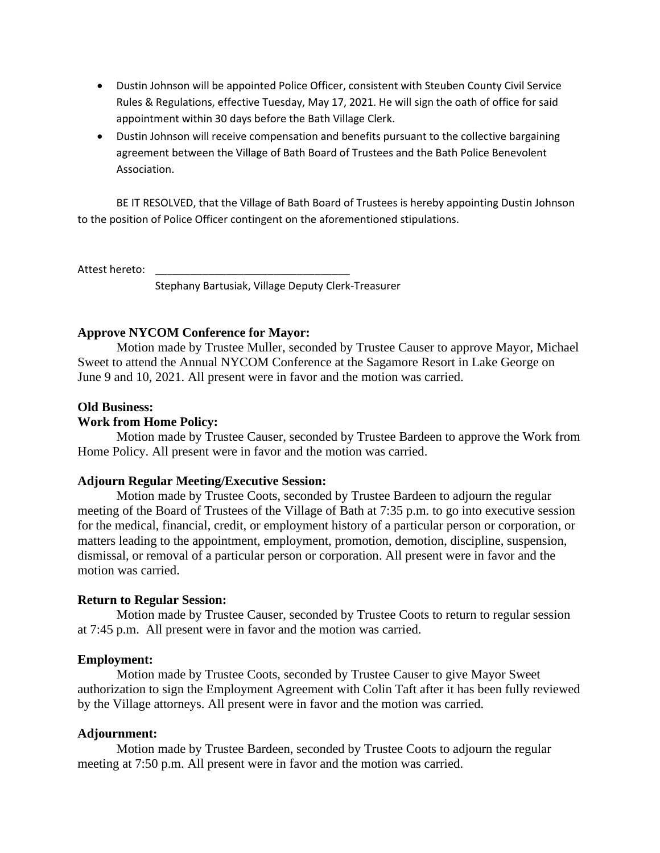- Dustin Johnson will be appointed Police Officer, consistent with Steuben County Civil Service Rules & Regulations, effective Tuesday, May 17, 2021. He will sign the oath of office for said appointment within 30 days before the Bath Village Clerk.
- Dustin Johnson will receive compensation and benefits pursuant to the collective bargaining agreement between the Village of Bath Board of Trustees and the Bath Police Benevolent Association.

BE IT RESOLVED, that the Village of Bath Board of Trustees is hereby appointing Dustin Johnson to the position of Police Officer contingent on the aforementioned stipulations.

Attest hereto:

Stephany Bartusiak, Village Deputy Clerk-Treasurer

# **Approve NYCOM Conference for Mayor:**

Motion made by Trustee Muller, seconded by Trustee Causer to approve Mayor, Michael Sweet to attend the Annual NYCOM Conference at the Sagamore Resort in Lake George on June 9 and 10, 2021. All present were in favor and the motion was carried.

# **Old Business:**

# **Work from Home Policy:**

Motion made by Trustee Causer, seconded by Trustee Bardeen to approve the Work from Home Policy. All present were in favor and the motion was carried.

#### **Adjourn Regular Meeting/Executive Session:**

Motion made by Trustee Coots, seconded by Trustee Bardeen to adjourn the regular meeting of the Board of Trustees of the Village of Bath at 7:35 p.m. to go into executive session for the medical, financial, credit, or employment history of a particular person or corporation, or matters leading to the appointment, employment, promotion, demotion, discipline, suspension, dismissal, or removal of a particular person or corporation. All present were in favor and the motion was carried.

# **Return to Regular Session:**

Motion made by Trustee Causer, seconded by Trustee Coots to return to regular session at 7:45 p.m. All present were in favor and the motion was carried.

#### **Employment:**

Motion made by Trustee Coots, seconded by Trustee Causer to give Mayor Sweet authorization to sign the Employment Agreement with Colin Taft after it has been fully reviewed by the Village attorneys. All present were in favor and the motion was carried.

## **Adjournment:**

Motion made by Trustee Bardeen, seconded by Trustee Coots to adjourn the regular meeting at 7:50 p.m. All present were in favor and the motion was carried.